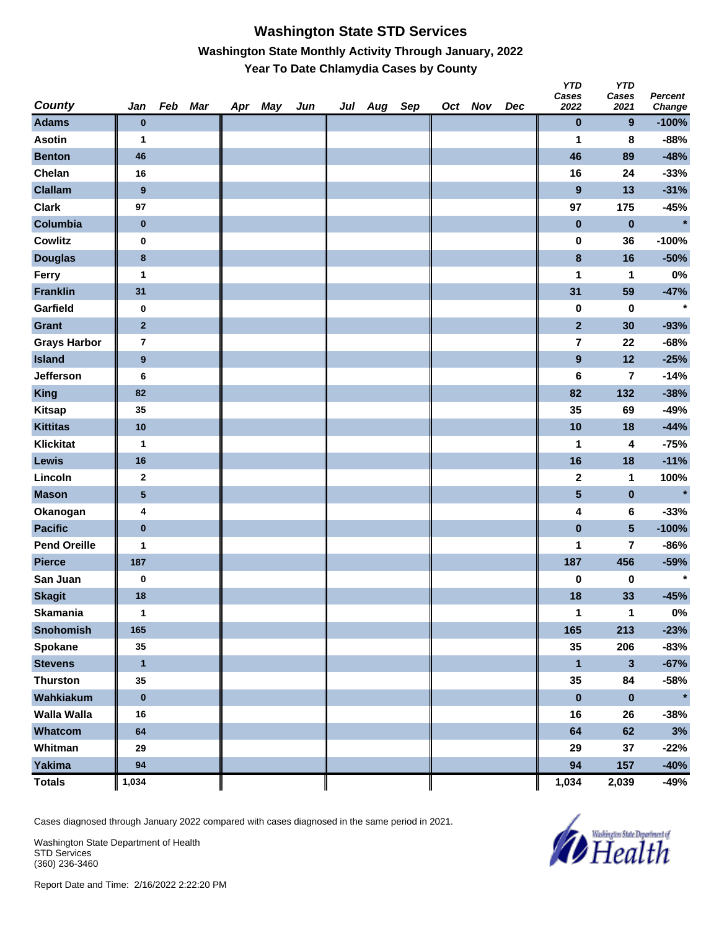#### **Washington State STD Services Washington State Monthly Activity Through January, 2022 Year To Date Chlamydia Cases by County**

| County              | Jan                     | Feb Mar | Apr May | Jun | Jul Aug Sep |  | Oct Nov | Dec | <b>YTD</b><br>Cases<br>2022 | <b>YTD</b><br>Cases<br>2021 | <b>Percent</b><br>Change |
|---------------------|-------------------------|---------|---------|-----|-------------|--|---------|-----|-----------------------------|-----------------------------|--------------------------|
| <b>Adams</b>        | $\bf{0}$                |         |         |     |             |  |         |     | 0                           | 9                           | $-100%$                  |
| <b>Asotin</b>       | 1                       |         |         |     |             |  |         |     | 1                           | 8                           | $-88%$                   |
| <b>Benton</b>       | 46                      |         |         |     |             |  |         |     | 46                          | 89                          | $-48%$                   |
| Chelan              | 16                      |         |         |     |             |  |         |     | 16                          | 24                          | $-33%$                   |
| <b>Clallam</b>      | $\boldsymbol{9}$        |         |         |     |             |  |         |     | $\overline{9}$              | 13                          | $-31%$                   |
| <b>Clark</b>        | 97                      |         |         |     |             |  |         |     | 97                          | 175                         | $-45%$                   |
| Columbia            | $\pmb{0}$               |         |         |     |             |  |         |     | $\pmb{0}$                   | $\pmb{0}$                   | $\star$                  |
| <b>Cowlitz</b>      | $\pmb{0}$               |         |         |     |             |  |         |     | 0                           | 36                          | $-100%$                  |
| <b>Douglas</b>      | $\bf{8}$                |         |         |     |             |  |         |     | 8                           | 16                          | $-50%$                   |
| Ferry               | $\mathbf{1}$            |         |         |     |             |  |         |     | 1                           | 1                           | $0\%$                    |
| <b>Franklin</b>     | 31                      |         |         |     |             |  |         |     | 31                          | 59                          | $-47%$                   |
| Garfield            | 0                       |         |         |     |             |  |         |     | 0                           | $\bf{0}$                    | $\star$                  |
| <b>Grant</b>        | $\mathbf{2}$            |         |         |     |             |  |         |     | $\mathbf{2}$                | 30                          | $-93%$                   |
| <b>Grays Harbor</b> | $\overline{\mathbf{r}}$ |         |         |     |             |  |         |     | $\bf 7$                     | 22                          | $-68%$                   |
| <b>Island</b>       | $\boldsymbol{9}$        |         |         |     |             |  |         |     | $\boldsymbol{9}$            | 12                          | $-25%$                   |
| Jefferson           | 6                       |         |         |     |             |  |         |     | 6                           | 7                           | $-14%$                   |
| <b>King</b>         | 82                      |         |         |     |             |  |         |     | 82                          | 132                         | $-38%$                   |
| <b>Kitsap</b>       | 35                      |         |         |     |             |  |         |     | 35                          | 69                          | -49%                     |
| <b>Kittitas</b>     | 10                      |         |         |     |             |  |         |     | 10                          | 18                          | $-44%$                   |
| <b>Klickitat</b>    | $\mathbf{1}$            |         |         |     |             |  |         |     | 1                           | 4                           | $-75%$                   |
| <b>Lewis</b>        | 16                      |         |         |     |             |  |         |     | 16                          | 18                          | $-11%$                   |
| Lincoln             | $\mathbf{2}$            |         |         |     |             |  |         |     | 2                           | 1                           | 100%                     |
| <b>Mason</b>        | ${\bf 5}$               |         |         |     |             |  |         |     | 5                           | $\pmb{0}$                   | $\star$                  |
| Okanogan            | 4                       |         |         |     |             |  |         |     | 4                           | 6                           | $-33%$                   |
| <b>Pacific</b>      | $\pmb{0}$               |         |         |     |             |  |         |     | $\pmb{0}$                   | $5\phantom{.0}$             | $-100%$                  |
| <b>Pend Oreille</b> | $\mathbf{1}$            |         |         |     |             |  |         |     | 1                           | 7                           | $-86%$                   |
| <b>Pierce</b>       | 187                     |         |         |     |             |  |         |     | 187                         | 456                         | $-59%$                   |
| San Juan            | $\pmb{0}$               |         |         |     |             |  |         |     | 0                           | 0                           | $\star$                  |
| <b>Skagit</b>       | 18                      |         |         |     |             |  |         |     | 18                          | 33                          | $-45%$                   |
| <b>Skamania</b>     | $\mathbf{1}$            |         |         |     |             |  |         |     | 1                           | $\mathbf{1}$                | $0\%$                    |
| Snohomish           | 165                     |         |         |     |             |  |         |     | 165                         | 213                         | $-23%$                   |
| Spokane             | 35                      |         |         |     |             |  |         |     | 35                          | 206                         | $-83%$                   |
| <b>Stevens</b>      | $\mathbf{1}$            |         |         |     |             |  |         |     | $\mathbf{1}$                | 3                           | $-67%$                   |
| <b>Thurston</b>     | 35                      |         |         |     |             |  |         |     | 35                          | 84                          | $-58%$                   |
| Wahkiakum           | $\pmb{0}$               |         |         |     |             |  |         |     | $\pmb{0}$                   | $\pmb{0}$                   | $\star$                  |
| <b>Walla Walla</b>  | 16                      |         |         |     |             |  |         |     | 16                          | 26                          | $-38%$                   |
| Whatcom             | 64                      |         |         |     |             |  |         |     | 64                          | 62                          | 3%                       |
| Whitman             | 29                      |         |         |     |             |  |         |     | 29                          | 37                          | $-22%$                   |
| <b>Yakima</b>       | 94                      |         |         |     |             |  |         |     | 94                          | 157                         | $-40%$                   |
| <b>Totals</b>       | 1,034                   |         |         |     |             |  |         |     | 1,034                       | 2,039                       | -49%                     |

Cases diagnosed through January 2022 compared with cases diagnosed in the same period in 2021.

Washington State Department of Health STD Services (360) 236-3460

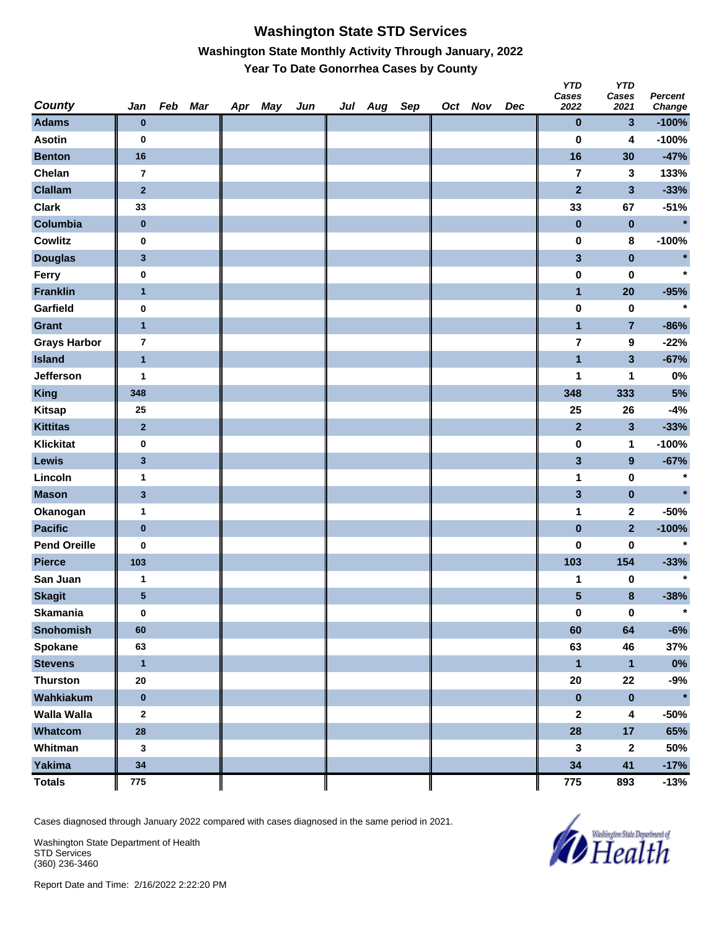## **Washington State STD Services Washington State Monthly Activity Through January, 2022 Year To Date Gonorrhea Cases by County**

| <b>County</b>       | Jan                     | Feb Mar | Apr May | Jun | Jul Aug Sep |  | Oct Nov | Dec | <b>YTD</b><br>Cases<br>2022 | <b>YTD</b><br>Cases<br>2021 | <b>Percent</b><br><b>Change</b> |
|---------------------|-------------------------|---------|---------|-----|-------------|--|---------|-----|-----------------------------|-----------------------------|---------------------------------|
| <b>Adams</b>        | $\bf{0}$                |         |         |     |             |  |         |     | 0                           | 3                           | $-100%$                         |
| <b>Asotin</b>       | $\bf{0}$                |         |         |     |             |  |         |     | $\bf{0}$                    | 4                           | $-100%$                         |
| <b>Benton</b>       | 16                      |         |         |     |             |  |         |     | 16                          | 30                          | $-47%$                          |
| Chelan              | $\bf 7$                 |         |         |     |             |  |         |     | $\overline{7}$              | 3                           | 133%                            |
| <b>Clallam</b>      | $\mathbf 2$             |         |         |     |             |  |         |     | $\overline{2}$              | 3                           | $-33%$                          |
| <b>Clark</b>        | 33                      |         |         |     |             |  |         |     | 33                          | 67                          | $-51%$                          |
| Columbia            | $\pmb{0}$               |         |         |     |             |  |         |     | $\bf{0}$                    | $\bf{0}$                    | $\star$                         |
| <b>Cowlitz</b>      | $\pmb{0}$               |         |         |     |             |  |         |     | 0                           | 8                           | $-100%$                         |
| <b>Douglas</b>      | $\mathbf{3}$            |         |         |     |             |  |         |     | 3                           | $\bf{0}$                    | $\star$                         |
| Ferry               | 0                       |         |         |     |             |  |         |     | $\pmb{0}$                   | $\bf{0}$                    | $\star$                         |
| <b>Franklin</b>     | $\overline{1}$          |         |         |     |             |  |         |     | $\mathbf{1}$                | 20                          | $-95%$                          |
| Garfield            | $\pmb{0}$               |         |         |     |             |  |         |     | 0                           | 0                           | $\star$                         |
| <b>Grant</b>        | $\overline{1}$          |         |         |     |             |  |         |     | $\mathbf{1}$                | 7                           | $-86%$                          |
| <b>Grays Harbor</b> | $\overline{\mathbf{r}}$ |         |         |     |             |  |         |     | $\overline{\mathbf{7}}$     | 9                           | $-22%$                          |
| <b>Island</b>       | $\mathbf{1}$            |         |         |     |             |  |         |     | $\overline{\mathbf{1}}$     | $\overline{\mathbf{3}}$     | $-67%$                          |
| Jefferson           | 1                       |         |         |     |             |  |         |     | 1                           | 1                           | 0%                              |
| <b>King</b>         | 348                     |         |         |     |             |  |         |     | 348                         | 333                         | $5%$                            |
| <b>Kitsap</b>       | 25                      |         |         |     |             |  |         |     | 25                          | 26                          | $-4%$                           |
| <b>Kittitas</b>     | $\mathbf 2$             |         |         |     |             |  |         |     | $\mathbf{2}$                | 3                           | $-33%$                          |
| <b>Klickitat</b>    | $\pmb{0}$               |         |         |     |             |  |         |     | $\pmb{0}$                   | 1                           | $-100%$                         |
| <b>Lewis</b>        | $\mathbf{3}$            |         |         |     |             |  |         |     | 3                           | $\boldsymbol{9}$            | $-67%$                          |
| Lincoln             | 1                       |         |         |     |             |  |         |     | 1                           | $\bf{0}$                    | $\star$                         |
| <b>Mason</b>        | $\mathbf{3}$            |         |         |     |             |  |         |     | 3                           | $\pmb{0}$                   | $\star$                         |
| Okanogan            | 1                       |         |         |     |             |  |         |     | 1                           | 2                           | $-50%$                          |
| <b>Pacific</b>      | $\pmb{0}$               |         |         |     |             |  |         |     | $\pmb{0}$                   | $\overline{2}$              | $-100%$                         |
| <b>Pend Oreille</b> | 0                       |         |         |     |             |  |         |     | 0                           | 0                           | $\star$                         |
| <b>Pierce</b>       | 103                     |         |         |     |             |  |         |     | 103                         | 154                         | $-33%$                          |
| San Juan            | 1                       |         |         |     |             |  |         |     | 1                           | 0                           | $\star$                         |
| <b>Skagit</b>       | ${\bf 5}$               |         |         |     |             |  |         |     | 5                           | 8                           | $-38%$                          |
| <b>Skamania</b>     | $\bf{0}$                |         |         |     |             |  |         |     | $\pmb{0}$                   | $\pmb{0}$                   | $\star$                         |
| <b>Snohomish</b>    | 60                      |         |         |     |             |  |         |     | 60                          | 64                          | $-6%$                           |
| <b>Spokane</b>      | 63                      |         |         |     |             |  |         |     | 63                          | 46                          | 37%                             |
| <b>Stevens</b>      | $\mathbf{1}$            |         |         |     |             |  |         |     | $\mathbf{1}$                | $\mathbf{1}$                | $0\%$                           |
| <b>Thurston</b>     | 20                      |         |         |     |             |  |         |     | ${\bf 20}$                  | 22                          | $-9%$                           |
| Wahkiakum           | $\pmb{0}$               |         |         |     |             |  |         |     | $\pmb{0}$                   | $\pmb{0}$                   | $\star$                         |
| Walla Walla         | $\mathbf{2}$            |         |         |     |             |  |         |     | $\mathbf{2}$                | 4                           | $-50%$                          |
| Whatcom             | 28                      |         |         |     |             |  |         |     | 28                          | 17                          | 65%                             |
| Whitman             | 3                       |         |         |     |             |  |         |     | 3                           | $\boldsymbol{2}$            | 50%                             |
| Yakima              | 34                      |         |         |     |             |  |         |     | 34                          | 41                          | $-17%$                          |
| <b>Totals</b>       | 775                     |         |         |     |             |  |         |     | 775                         | 893                         | $-13%$                          |

Cases diagnosed through January 2022 compared with cases diagnosed in the same period in 2021.

Washington State Department of Health STD Services (360) 236-3460

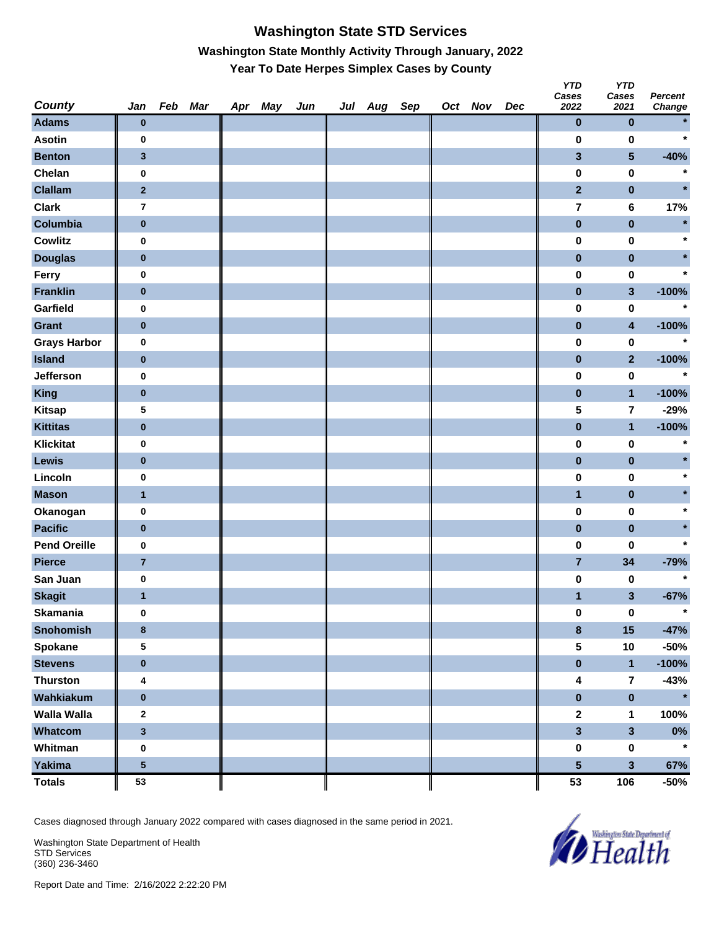# **Washington State STD Services Washington State Monthly Activity Through January, 2022 Year To Date Herpes Simplex Cases by County**

| <b>County</b>       | Jan                     | Feb Mar | Apr May | Jun | Jul Aug Sep |  | Oct Nov | Dec | <b>YTD</b><br>Cases<br>2022 | <b>YTD</b><br>Cases<br>2021 | <b>Percent</b><br><b>Change</b> |
|---------------------|-------------------------|---------|---------|-----|-------------|--|---------|-----|-----------------------------|-----------------------------|---------------------------------|
| <b>Adams</b>        | $\bf{0}$                |         |         |     |             |  |         |     | $\bf{0}$                    | $\bf{0}$                    |                                 |
| <b>Asotin</b>       | $\pmb{0}$               |         |         |     |             |  |         |     | 0                           | 0                           | $\star$                         |
| <b>Benton</b>       | $\mathbf{3}$            |         |         |     |             |  |         |     | $\mathbf{3}$                | $\sqrt{5}$                  | $-40%$                          |
| Chelan              | $\pmb{0}$               |         |         |     |             |  |         |     | 0                           | 0                           | $\star$                         |
| <b>Clallam</b>      | $\bf{2}$                |         |         |     |             |  |         |     | $\overline{2}$              | $\pmb{0}$                   |                                 |
| <b>Clark</b>        | $\overline{\mathbf{r}}$ |         |         |     |             |  |         |     | 7                           | 6                           | 17%                             |
| Columbia            | $\pmb{0}$               |         |         |     |             |  |         |     | $\bf{0}$                    | $\pmb{0}$                   | $\star$                         |
| <b>Cowlitz</b>      | $\pmb{0}$               |         |         |     |             |  |         |     | $\pmb{0}$                   | 0                           |                                 |
| <b>Douglas</b>      | $\bf{0}$                |         |         |     |             |  |         |     | $\pmb{0}$                   | $\pmb{0}$                   |                                 |
| Ferry               | $\pmb{0}$               |         |         |     |             |  |         |     | 0                           | $\pmb{0}$                   |                                 |
| <b>Franklin</b>     | $\bf{0}$                |         |         |     |             |  |         |     | $\pmb{0}$                   | $\mathbf{3}$                | $-100%$                         |
| Garfield            | $\pmb{0}$               |         |         |     |             |  |         |     | 0                           | 0                           | $\star$                         |
| <b>Grant</b>        | $\bf{0}$                |         |         |     |             |  |         |     | $\pmb{0}$                   | $\overline{\mathbf{4}}$     | $-100%$                         |
| <b>Grays Harbor</b> | $\pmb{0}$               |         |         |     |             |  |         |     | 0                           | $\pmb{0}$                   | $\star$                         |
| <b>Island</b>       | $\bf{0}$                |         |         |     |             |  |         |     | $\pmb{0}$                   | $\mathbf{2}$                | $-100%$                         |
| Jefferson           | 0                       |         |         |     |             |  |         |     | $\pmb{0}$                   | 0                           | $\star$                         |
| <b>King</b>         | $\pmb{0}$               |         |         |     |             |  |         |     | $\bf{0}$                    | $\mathbf{1}$                | $-100%$                         |
| <b>Kitsap</b>       | 5                       |         |         |     |             |  |         |     | 5                           | $\overline{\mathbf{r}}$     | $-29%$                          |
| <b>Kittitas</b>     | $\bf{0}$                |         |         |     |             |  |         |     | $\pmb{0}$                   | $\overline{1}$              | $-100%$                         |
| <b>Klickitat</b>    | $\pmb{0}$               |         |         |     |             |  |         |     | 0                           | 0                           | $\star$                         |
| Lewis               | $\bf{0}$                |         |         |     |             |  |         |     | $\bf{0}$                    | $\pmb{0}$                   |                                 |
| Lincoln             | $\pmb{0}$               |         |         |     |             |  |         |     | 0                           | 0                           |                                 |
| <b>Mason</b>        | $\mathbf{1}$            |         |         |     |             |  |         |     | $\overline{\mathbf{1}}$     | $\pmb{0}$                   |                                 |
| Okanogan            | $\pmb{0}$               |         |         |     |             |  |         |     | 0                           | 0                           |                                 |
| <b>Pacific</b>      | $\pmb{0}$               |         |         |     |             |  |         |     | $\pmb{0}$                   | $\pmb{0}$                   |                                 |
| <b>Pend Oreille</b> | 0                       |         |         |     |             |  |         |     | 0                           | 0                           | $\star$                         |
| <b>Pierce</b>       | $\overline{7}$          |         |         |     |             |  |         |     | $\overline{7}$              | 34                          | $-79%$                          |
| San Juan            | $\pmb{0}$               |         |         |     |             |  |         |     | $\pmb{0}$                   | 0                           | $\star$                         |
| <b>Skagit</b>       | $\mathbf{1}$            |         |         |     |             |  |         |     | 1                           | 3                           | $-67%$                          |
| <b>Skamania</b>     | $\pmb{0}$               |         |         |     |             |  |         |     | $\pmb{0}$                   | $\pmb{0}$                   | $\star$                         |
| <b>Snohomish</b>    | $\bf 8$                 |         |         |     |             |  |         |     | $\pmb{8}$                   | $15\phantom{.0}$            | $-47%$                          |
| Spokane             | 5                       |         |         |     |             |  |         |     | ${\bf 5}$                   | $10$                        | $-50%$                          |
| <b>Stevens</b>      | $\pmb{0}$               |         |         |     |             |  |         |     | $\pmb{0}$                   | $\mathbf{1}$                | $-100%$                         |
| <b>Thurston</b>     | 4                       |         |         |     |             |  |         |     | $\overline{\mathbf{4}}$     | $\overline{7}$              | $-43%$                          |
| Wahkiakum           | $\pmb{0}$               |         |         |     |             |  |         |     | $\pmb{0}$                   | $\pmb{0}$                   | $\star$                         |
| <b>Walla Walla</b>  | $\mathbf 2$             |         |         |     |             |  |         |     | $\boldsymbol{2}$            | 1                           | 100%                            |
| Whatcom             | $\mathbf{3}$            |         |         |     |             |  |         |     | $\overline{\mathbf{3}}$     | $\overline{\mathbf{3}}$     | $0\%$                           |
| Whitman             | $\pmb{0}$               |         |         |     |             |  |         |     | 0                           | $\pmb{0}$                   | $\star$                         |
| <b>Yakima</b>       | ${\bf 5}$               |         |         |     |             |  |         |     | $5\phantom{a}$              | $\overline{\mathbf{3}}$     | 67%                             |
| <b>Totals</b>       | 53                      |         |         |     |             |  |         |     | 53                          | 106                         | -50%                            |

Cases diagnosed through January 2022 compared with cases diagnosed in the same period in 2021.

Washington State Department of Health STD Services (360) 236-3460

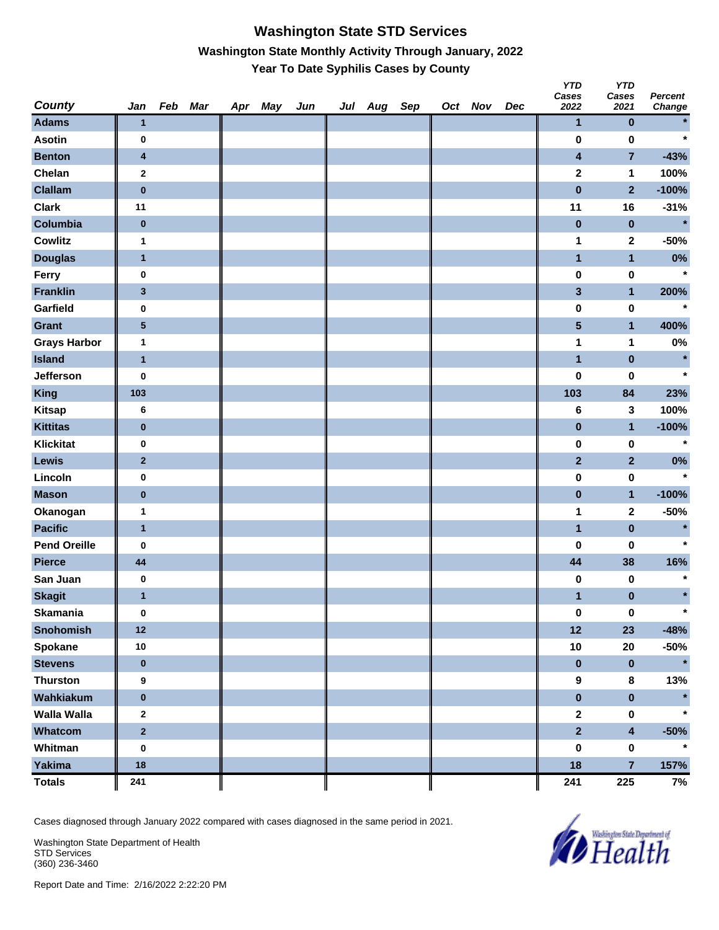#### **Washington State STD Services Washington State Monthly Activity Through January, 2022 Year To Date Syphilis Cases by County**

| <b>County</b>       | Jan                     | Feb Mar | Apr May | Jun | Jul Aug Sep |  | Oct Nov | Dec | <b>YTD</b><br>Cases<br>2022 | <b>YTD</b><br>Cases<br>2021 | <b>Percent</b><br><b>Change</b> |
|---------------------|-------------------------|---------|---------|-----|-------------|--|---------|-----|-----------------------------|-----------------------------|---------------------------------|
| <b>Adams</b>        | $\mathbf{1}$            |         |         |     |             |  |         |     | $\mathbf{1}$                | $\bf{0}$                    |                                 |
| <b>Asotin</b>       | 0                       |         |         |     |             |  |         |     | $\bf{0}$                    | $\bf{0}$                    | $\star$                         |
| <b>Benton</b>       | $\overline{\mathbf{4}}$ |         |         |     |             |  |         |     | 4                           | 7                           | $-43%$                          |
| Chelan              | $\mathbf{2}$            |         |         |     |             |  |         |     | $\mathbf 2$                 | 1                           | 100%                            |
| <b>Clallam</b>      | $\pmb{0}$               |         |         |     |             |  |         |     | $\bf{0}$                    | $\overline{2}$              | $-100%$                         |
| <b>Clark</b>        | 11                      |         |         |     |             |  |         |     | 11                          | 16                          | $-31%$                          |
| Columbia            | $\pmb{0}$               |         |         |     |             |  |         |     | $\bf{0}$                    | $\bf{0}$                    | $\star$                         |
| Cowlitz             | $\mathbf{1}$            |         |         |     |             |  |         |     | 1                           | 2                           | $-50%$                          |
| <b>Douglas</b>      | $\mathbf{1}$            |         |         |     |             |  |         |     | 1                           | $\mathbf{1}$                | 0%                              |
| Ferry               | 0                       |         |         |     |             |  |         |     | $\pmb{0}$                   | $\pmb{0}$                   | $\star$                         |
| <b>Franklin</b>     | $\mathbf{3}$            |         |         |     |             |  |         |     | 3                           | $\mathbf{1}$                | 200%                            |
| Garfield            | 0                       |         |         |     |             |  |         |     | 0                           | $\bf{0}$                    | $\star$                         |
| <b>Grant</b>        | ${\bf 5}$               |         |         |     |             |  |         |     | 5                           | $\mathbf{1}$                | 400%                            |
| <b>Grays Harbor</b> | 1                       |         |         |     |             |  |         |     | 1                           | 1                           | $0\%$                           |
| <b>Island</b>       | $\mathbf{1}$            |         |         |     |             |  |         |     | $\overline{\mathbf{1}}$     | $\pmb{0}$                   | $\star$                         |
| <b>Jefferson</b>    | $\bf{0}$                |         |         |     |             |  |         |     | 0                           | 0                           | $\star$                         |
| <b>King</b>         | 103                     |         |         |     |             |  |         |     | 103                         | 84                          | 23%                             |
| <b>Kitsap</b>       | 6                       |         |         |     |             |  |         |     | 6                           | 3                           | 100%                            |
| <b>Kittitas</b>     | $\pmb{0}$               |         |         |     |             |  |         |     | $\pmb{0}$                   | $\mathbf{1}$                | $-100%$                         |
| <b>Klickitat</b>    | $\pmb{0}$               |         |         |     |             |  |         |     | $\pmb{0}$                   | $\bf{0}$                    | $\star$                         |
| <b>Lewis</b>        | $\mathbf{2}$            |         |         |     |             |  |         |     | $\overline{\mathbf{2}}$     | $\mathbf{2}$                | $0\%$                           |
| Lincoln             | $\pmb{0}$               |         |         |     |             |  |         |     | 0                           | $\bf{0}$                    | $\star$                         |
| <b>Mason</b>        | $\bf{0}$                |         |         |     |             |  |         |     | $\pmb{0}$                   | $\mathbf{1}$                | $-100%$                         |
| Okanogan            | 1                       |         |         |     |             |  |         |     | 1                           | $\mathbf 2$                 | $-50%$                          |
| <b>Pacific</b>      | $\mathbf{1}$            |         |         |     |             |  |         |     | $\overline{\mathbf{1}}$     | $\pmb{0}$                   | $\star$                         |
| <b>Pend Oreille</b> | 0                       |         |         |     |             |  |         |     | 0                           | 0                           | $\star$                         |
| <b>Pierce</b>       | 44                      |         |         |     |             |  |         |     | 44                          | 38                          | 16%                             |
| San Juan            | $\pmb{0}$               |         |         |     |             |  |         |     | 0                           | 0                           | $\star$                         |
| <b>Skagit</b>       | $\mathbf{1}$            |         |         |     |             |  |         |     | 1                           | $\bf{0}$                    | $\star$                         |
| <b>Skamania</b>     | $\bf{0}$                |         |         |     |             |  |         |     | $\pmb{0}$                   | $\pmb{0}$                   | $\star$                         |
| Snohomish           | 12                      |         |         |     |             |  |         |     | 12                          | 23                          | $-48%$                          |
| <b>Spokane</b>      | $10\,$                  |         |         |     |             |  |         |     | $10$                        | ${\bf 20}$                  | $-50%$                          |
| <b>Stevens</b>      | $\pmb{0}$               |         |         |     |             |  |         |     | $\pmb{0}$                   | $\bf{0}$                    | $\star$                         |
| <b>Thurston</b>     | 9                       |         |         |     |             |  |         |     | $\boldsymbol{9}$            | 8                           | 13%                             |
| Wahkiakum           | $\pmb{0}$               |         |         |     |             |  |         |     | $\pmb{0}$                   | $\pmb{0}$                   |                                 |
| Walla Walla         | $\mathbf{2}$            |         |         |     |             |  |         |     | $\mathbf{2}$                | 0                           | $\star$                         |
| Whatcom             | $\overline{\mathbf{2}}$ |         |         |     |             |  |         |     | $\overline{2}$              | 4                           | $-50%$                          |
| Whitman             | $\pmb{0}$               |         |         |     |             |  |         |     | 0                           | $\pmb{0}$                   | $\star$                         |
| Yakima              | 18                      |         |         |     |             |  |         |     | 18                          | $\overline{7}$              | 157%                            |
| <b>Totals</b>       | 241                     |         |         |     |             |  |         |     | 241                         | 225                         | 7%                              |

Cases diagnosed through January 2022 compared with cases diagnosed in the same period in 2021.

Washington State Department of Health STD Services (360) 236-3460

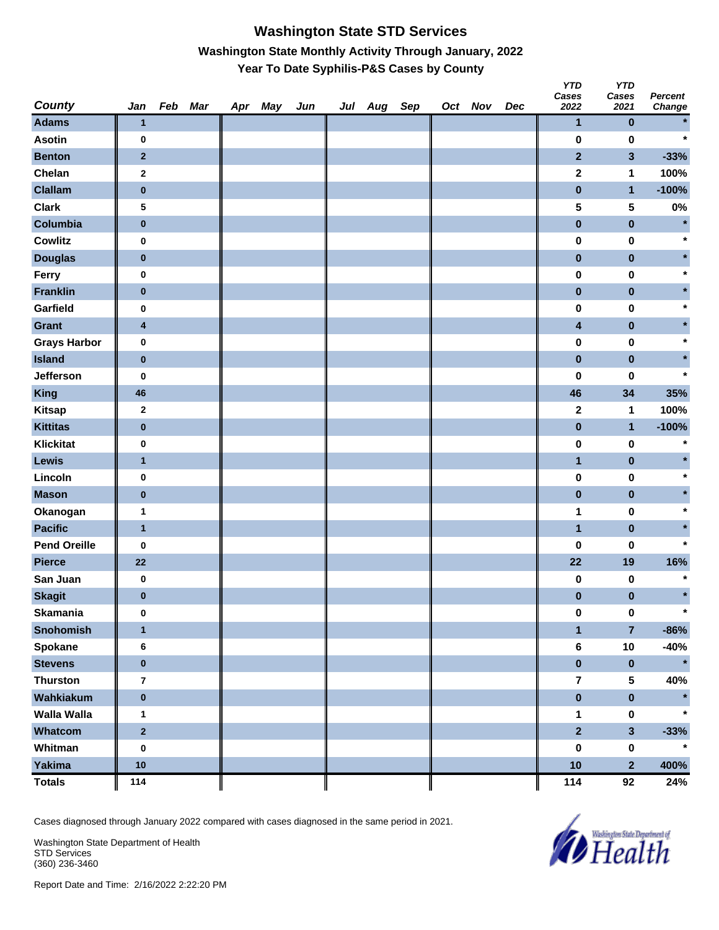# **Washington State STD Services Washington State Monthly Activity Through January, 2022 Year To Date Syphilis-P&S Cases by County**

| <b>County</b>       | Jan                     | Feb Mar | Apr May | Jun | Jul Aug Sep |  | Oct Nov | Dec | <b>YTD</b><br>Cases<br>2022 | <b>YTD</b><br>Cases<br>2021 | <b>Percent</b><br>Change |
|---------------------|-------------------------|---------|---------|-----|-------------|--|---------|-----|-----------------------------|-----------------------------|--------------------------|
| <b>Adams</b>        | $\mathbf{1}$            |         |         |     |             |  |         |     | $\mathbf{1}$                | 0                           | $\star$                  |
| <b>Asotin</b>       | 0                       |         |         |     |             |  |         |     | 0                           | 0                           | $\star$                  |
| <b>Benton</b>       | $\mathbf{2}$            |         |         |     |             |  |         |     | $\mathbf{2}$                | 3                           | $-33%$                   |
| Chelan              | $\mathbf{2}$            |         |         |     |             |  |         |     | $\mathbf 2$                 | 1                           | 100%                     |
| <b>Clallam</b>      | $\pmb{0}$               |         |         |     |             |  |         |     | $\bf{0}$                    | $\mathbf{1}$                | $-100%$                  |
| <b>Clark</b>        | 5                       |         |         |     |             |  |         |     | 5                           | 5                           | $0\%$                    |
| Columbia            | $\bf{0}$                |         |         |     |             |  |         |     | $\bf{0}$                    | $\bf{0}$                    | $\star$                  |
| <b>Cowlitz</b>      | $\bf{0}$                |         |         |     |             |  |         |     | 0                           | 0                           | $\star$                  |
| <b>Douglas</b>      | $\bf{0}$                |         |         |     |             |  |         |     | 0                           | 0                           | $\star$                  |
| Ferry               | 0                       |         |         |     |             |  |         |     | 0                           | 0                           | $\star$                  |
| <b>Franklin</b>     | $\bf{0}$                |         |         |     |             |  |         |     | $\pmb{0}$                   | $\pmb{0}$                   | $\star$                  |
| Garfield            | $\bf{0}$                |         |         |     |             |  |         |     | 0                           | 0                           | $\star$                  |
| <b>Grant</b>        | $\overline{\mathbf{4}}$ |         |         |     |             |  |         |     | 4                           | $\pmb{0}$                   | $\star$                  |
| <b>Grays Harbor</b> | $\bf{0}$                |         |         |     |             |  |         |     | 0                           | 0                           | $\star$                  |
| <b>Island</b>       | $\pmb{0}$               |         |         |     |             |  |         |     | $\bf{0}$                    | $\pmb{0}$                   | $\star$                  |
| Jefferson           | 0                       |         |         |     |             |  |         |     | 0                           | 0                           | $\star$                  |
| <b>King</b>         | 46                      |         |         |     |             |  |         |     | 46                          | 34                          | 35%                      |
| <b>Kitsap</b>       | $\mathbf{2}$            |         |         |     |             |  |         |     | 2                           | 1                           | 100%                     |
| <b>Kittitas</b>     | $\pmb{0}$               |         |         |     |             |  |         |     | $\pmb{0}$                   | $\mathbf{1}$                | $-100%$                  |
| <b>Klickitat</b>    | 0                       |         |         |     |             |  |         |     | 0                           | 0                           | $\star$                  |
| Lewis               | $\mathbf{1}$            |         |         |     |             |  |         |     | $\mathbf{1}$                | $\pmb{0}$                   | $\star$                  |
| Lincoln             | $\bf{0}$                |         |         |     |             |  |         |     | 0                           | 0                           | $\star$                  |
| <b>Mason</b>        | $\pmb{0}$               |         |         |     |             |  |         |     | $\pmb{0}$                   | $\pmb{0}$                   | $\star$                  |
| Okanogan            | $\mathbf 1$             |         |         |     |             |  |         |     | 1                           | 0                           | $\star$                  |
| <b>Pacific</b>      | $\overline{1}$          |         |         |     |             |  |         |     | $\mathbf{1}$                | $\pmb{0}$                   | $\star$                  |
| <b>Pend Oreille</b> | 0                       |         |         |     |             |  |         |     | 0                           | 0                           | $\star$                  |
| <b>Pierce</b>       | 22                      |         |         |     |             |  |         |     | 22                          | 19                          | 16%                      |
| San Juan            | $\bf{0}$                |         |         |     |             |  |         |     | 0                           | 0                           | $\ast$                   |
| <b>Skagit</b>       | $\pmb{0}$               |         |         |     |             |  |         |     | 0                           | 0                           | $\star$                  |
| <b>Skamania</b>     | $\bf{0}$                |         |         |     |             |  |         |     | 0                           | 0                           | $\star$                  |
| <b>Snohomish</b>    | $\overline{1}$          |         |         |     |             |  |         |     | $\mathbf{1}$                | $\overline{7}$              | $-86%$                   |
| <b>Spokane</b>      | 6                       |         |         |     |             |  |         |     | 6                           | $10$                        | $-40%$                   |
| <b>Stevens</b>      | $\pmb{0}$               |         |         |     |             |  |         |     | $\mathbf 0$                 | $\bf{0}$                    | $\star$                  |
| <b>Thurston</b>     | $\overline{\mathbf{7}}$ |         |         |     |             |  |         |     | $\overline{7}$              | 5                           | 40%                      |
| Wahkiakum           | $\pmb{0}$               |         |         |     |             |  |         |     | $\bf{0}$                    | $\bf{0}$                    | $\star$                  |
| <b>Walla Walla</b>  | $\mathbf{1}$            |         |         |     |             |  |         |     | 1                           | 0                           | $\star$                  |
| Whatcom             | $\mathbf{2}$            |         |         |     |             |  |         |     | $\overline{2}$              | $\overline{\mathbf{3}}$     | $-33%$                   |
| Whitman             | $\bf{0}$                |         |         |     |             |  |         |     | 0                           | $\pmb{0}$                   | $\star$                  |
| Yakima              | 10                      |         |         |     |             |  |         |     | 10                          | $\overline{2}$              | 400%                     |
| <b>Totals</b>       | 114                     |         |         |     |             |  |         |     | 114                         | 92                          | 24%                      |

Cases diagnosed through January 2022 compared with cases diagnosed in the same period in 2021.

Washington State Department of Health STD Services (360) 236-3460

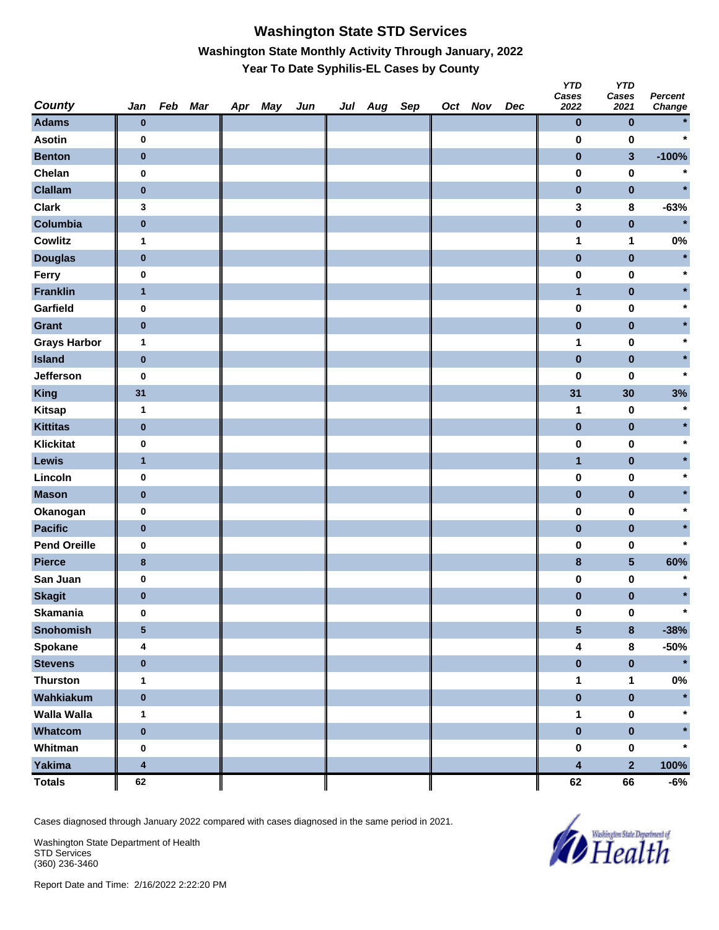# **Washington State STD Services Washington State Monthly Activity Through January, 2022 Year To Date Syphilis-EL Cases by County**

| <b>County</b>       | Jan                     | Feb Mar | Apr May | Jun | Jul Aug Sep |  | Oct Nov | Dec | <b>YTD</b><br>Cases<br>2022 | <b>YTD</b><br>Cases<br>2021 | <b>Percent</b><br>Change |
|---------------------|-------------------------|---------|---------|-----|-------------|--|---------|-----|-----------------------------|-----------------------------|--------------------------|
| <b>Adams</b>        | $\bf{0}$                |         |         |     |             |  |         |     | $\pmb{0}$                   | $\pmb{0}$                   |                          |
| <b>Asotin</b>       | $\bf{0}$                |         |         |     |             |  |         |     | 0                           | $\pmb{0}$                   | $\star$                  |
| <b>Benton</b>       | $\bf{0}$                |         |         |     |             |  |         |     | $\pmb{0}$                   | $\mathbf{3}$                | $-100%$                  |
| Chelan              | $\bf{0}$                |         |         |     |             |  |         |     | $\pmb{0}$                   | $\pmb{0}$                   | $\star$                  |
| <b>Clallam</b>      | $\bf{0}$                |         |         |     |             |  |         |     | $\pmb{0}$                   | $\pmb{0}$                   |                          |
| <b>Clark</b>        | 3                       |         |         |     |             |  |         |     | 3                           | $\pmb{8}$                   | $-63%$                   |
| Columbia            | $\pmb{0}$               |         |         |     |             |  |         |     | $\pmb{0}$                   | $\pmb{0}$                   | $\star$                  |
| <b>Cowlitz</b>      | 1                       |         |         |     |             |  |         |     | 1                           | 1                           | $0\%$                    |
| <b>Douglas</b>      | $\bf{0}$                |         |         |     |             |  |         |     | $\pmb{0}$                   | $\pmb{0}$                   | $\star$                  |
| Ferry               | $\bf{0}$                |         |         |     |             |  |         |     | $\pmb{0}$                   | $\pmb{0}$                   |                          |
| <b>Franklin</b>     | $\mathbf{1}$            |         |         |     |             |  |         |     | $\mathbf{1}$                | $\pmb{0}$                   |                          |
| Garfield            | $\bf{0}$                |         |         |     |             |  |         |     | $\pmb{0}$                   | 0                           |                          |
| Grant               | $\bf{0}$                |         |         |     |             |  |         |     | $\pmb{0}$                   | $\pmb{0}$                   |                          |
| <b>Grays Harbor</b> | $\mathbf{1}$            |         |         |     |             |  |         |     | 1                           | $\pmb{0}$                   |                          |
| <b>Island</b>       | $\pmb{0}$               |         |         |     |             |  |         |     | $\pmb{0}$                   | $\pmb{0}$                   |                          |
| Jefferson           | 0                       |         |         |     |             |  |         |     | $\pmb{0}$                   | 0                           |                          |
| <b>King</b>         | 31                      |         |         |     |             |  |         |     | 31                          | 30                          | 3%                       |
| <b>Kitsap</b>       | $\mathbf{1}$            |         |         |     |             |  |         |     | 1                           | $\pmb{0}$                   | $\star$                  |
| <b>Kittitas</b>     | $\bf{0}$                |         |         |     |             |  |         |     | $\pmb{0}$                   | $\pmb{0}$                   |                          |
| <b>Klickitat</b>    | $\bf{0}$                |         |         |     |             |  |         |     | $\pmb{0}$                   | $\pmb{0}$                   |                          |
| Lewis               | $\mathbf{1}$            |         |         |     |             |  |         |     | $\mathbf{1}$                | $\pmb{0}$                   |                          |
| Lincoln             | $\bf{0}$                |         |         |     |             |  |         |     | $\pmb{0}$                   | 0                           |                          |
| <b>Mason</b>        | $\bf{0}$                |         |         |     |             |  |         |     | $\pmb{0}$                   | $\pmb{0}$                   |                          |
| Okanogan            | $\bf{0}$                |         |         |     |             |  |         |     | $\pmb{0}$                   | $\pmb{0}$                   |                          |
| <b>Pacific</b>      | $\pmb{0}$               |         |         |     |             |  |         |     | $\pmb{0}$                   | $\pmb{0}$                   |                          |
| <b>Pend Oreille</b> | 0                       |         |         |     |             |  |         |     | $\pmb{0}$                   | 0                           |                          |
| <b>Pierce</b>       | $\bf 8$                 |         |         |     |             |  |         |     | $\bf{8}$                    | $5\phantom{.0}$             | 60%                      |
| San Juan            | $\bf{0}$                |         |         |     |             |  |         |     | 0                           | $\pmb{0}$                   |                          |
| <b>Skagit</b>       | $\pmb{0}$               |         |         |     |             |  |         |     | $\pmb{0}$                   | $\pmb{0}$                   | $\star$                  |
| <b>Skamania</b>     | $\bf{0}$                |         |         |     |             |  |         |     | $\pmb{0}$                   | $\pmb{0}$                   | $\ast$                   |
| <b>Snohomish</b>    | $\overline{\mathbf{5}}$ |         |         |     |             |  |         |     | $\overline{\mathbf{5}}$     | $\pmb{8}$                   | $-38%$                   |
| Spokane             | 4                       |         |         |     |             |  |         |     | 4                           | $\pmb{8}$                   | $-50%$                   |
| <b>Stevens</b>      | $\pmb{0}$               |         |         |     |             |  |         |     | $\pmb{0}$                   | $\pmb{0}$                   | $\star$                  |
| <b>Thurston</b>     | $\mathbf{1}$            |         |         |     |             |  |         |     | 1                           | $\mathbf{1}$                | $0\%$                    |
| Wahkiakum           | $\pmb{0}$               |         |         |     |             |  |         |     | $\pmb{0}$                   | $\pmb{0}$                   |                          |
| <b>Walla Walla</b>  | $\mathbf{1}$            |         |         |     |             |  |         |     | 1                           | $\pmb{0}$                   |                          |
| Whatcom             | $\pmb{0}$               |         |         |     |             |  |         |     | $\pmb{0}$                   | $\pmb{0}$                   |                          |
| Whitman             | $\bf{0}$                |         |         |     |             |  |         |     | $\pmb{0}$                   | $\pmb{0}$                   | $\star$                  |
| Yakima              | 4                       |         |         |     |             |  |         |     | 4                           | $\overline{\mathbf{2}}$     | 100%                     |
| <b>Totals</b>       | 62                      |         |         |     |             |  |         |     | 62                          | 66                          | -6%                      |

Cases diagnosed through January 2022 compared with cases diagnosed in the same period in 2021.

Washington State Department of Health STD Services (360) 236-3460

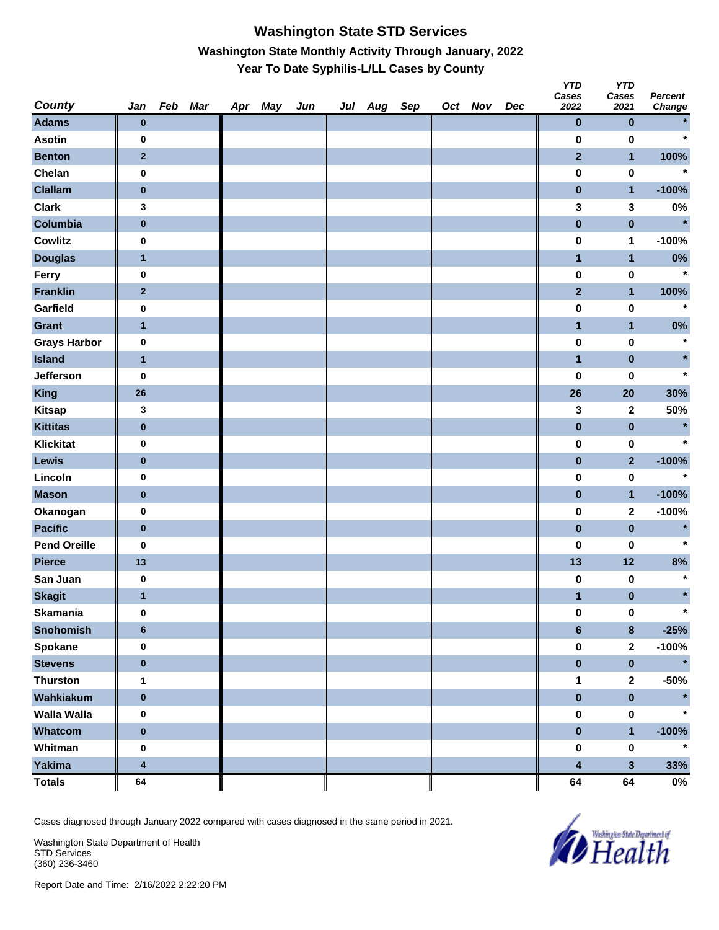### **Washington State STD Services Washington State Monthly Activity Through January, 2022 Year To Date Syphilis-L/LL Cases by County**

| <b>County</b>       | Jan                     | Feb Mar | Apr May | Jun | Jul Aug Sep |  | Oct Nov | Dec | <b>YTD</b><br>Cases<br>2022 | <b>YTD</b><br>Cases<br>2021 | <b>Percent</b><br>Change |
|---------------------|-------------------------|---------|---------|-----|-------------|--|---------|-----|-----------------------------|-----------------------------|--------------------------|
| <b>Adams</b>        | $\bf{0}$                |         |         |     |             |  |         |     | $\pmb{0}$                   | $\pmb{0}$                   |                          |
| <b>Asotin</b>       | 0                       |         |         |     |             |  |         |     | 0                           | $\bf{0}$                    | $\star$                  |
| <b>Benton</b>       | $\mathbf{2}$            |         |         |     |             |  |         |     | $\overline{2}$              | $\mathbf{1}$                | 100%                     |
| Chelan              | 0                       |         |         |     |             |  |         |     | $\pmb{0}$                   | $\pmb{0}$                   | $\star$                  |
| <b>Clallam</b>      | $\pmb{0}$               |         |         |     |             |  |         |     | $\pmb{0}$                   | $\mathbf{1}$                | $-100%$                  |
| <b>Clark</b>        | 3                       |         |         |     |             |  |         |     | 3                           | 3                           | $0\%$                    |
| Columbia            | $\pmb{0}$               |         |         |     |             |  |         |     | $\pmb{0}$                   | $\pmb{0}$                   | $\star$                  |
| <b>Cowlitz</b>      | $\bf{0}$                |         |         |     |             |  |         |     | $\pmb{0}$                   | 1                           | $-100%$                  |
| <b>Douglas</b>      | $\mathbf{1}$            |         |         |     |             |  |         |     | $\mathbf{1}$                | $\mathbf{1}$                | $0\%$                    |
| Ferry               | $\bf{0}$                |         |         |     |             |  |         |     | $\pmb{0}$                   | $\pmb{0}$                   | $\star$                  |
| <b>Franklin</b>     | $\mathbf{2}$            |         |         |     |             |  |         |     | $\mathbf{2}$                | $\mathbf{1}$                | 100%                     |
| Garfield            | $\bf{0}$                |         |         |     |             |  |         |     | $\pmb{0}$                   | $\pmb{0}$                   | $\star$                  |
| Grant               | $\mathbf{1}$            |         |         |     |             |  |         |     | $\mathbf{1}$                | $\mathbf{1}$                | $0\%$                    |
| <b>Grays Harbor</b> | $\pmb{0}$               |         |         |     |             |  |         |     | $\pmb{0}$                   | $\pmb{0}$                   | $\star$                  |
| <b>Island</b>       | $\mathbf{1}$            |         |         |     |             |  |         |     | $\overline{\mathbf{1}}$     | $\pmb{0}$                   |                          |
| Jefferson           | $\bf{0}$                |         |         |     |             |  |         |     | 0                           | 0                           | $\star$                  |
| <b>King</b>         | 26                      |         |         |     |             |  |         |     | 26                          | 20                          | 30%                      |
| <b>Kitsap</b>       | 3                       |         |         |     |             |  |         |     | 3                           | $\mathbf{2}$                | 50%                      |
| <b>Kittitas</b>     | $\bf{0}$                |         |         |     |             |  |         |     | $\pmb{0}$                   | $\pmb{0}$                   | $\star$                  |
| <b>Klickitat</b>    | $\bf{0}$                |         |         |     |             |  |         |     | $\pmb{0}$                   | $\pmb{0}$                   | $\star$                  |
| Lewis               | $\bf{0}$                |         |         |     |             |  |         |     | $\pmb{0}$                   | $\overline{2}$              | $-100%$                  |
| Lincoln             | 0                       |         |         |     |             |  |         |     | $\pmb{0}$                   | $\pmb{0}$                   | $\star$                  |
| <b>Mason</b>        | $\pmb{0}$               |         |         |     |             |  |         |     | $\pmb{0}$                   | $\mathbf{1}$                | $-100%$                  |
| Okanogan            | $\bf{0}$                |         |         |     |             |  |         |     | $\pmb{0}$                   | $\mathbf 2$                 | $-100%$                  |
| <b>Pacific</b>      | $\pmb{0}$               |         |         |     |             |  |         |     | $\pmb{0}$                   | $\pmb{0}$                   | $\star$                  |
| <b>Pend Oreille</b> | $\bf{0}$                |         |         |     |             |  |         |     | 0                           | 0                           | $\star$                  |
| <b>Pierce</b>       | 13                      |         |         |     |             |  |         |     | 13                          | 12                          | 8%                       |
| San Juan            | $\bf{0}$                |         |         |     |             |  |         |     | 0                           | 0                           | $\star$                  |
| <b>Skagit</b>       | $\mathbf{1}$            |         |         |     |             |  |         |     | $\mathbf{1}$                | $\pmb{0}$                   | $\star$                  |
| <b>Skamania</b>     | $\bf{0}$                |         |         |     |             |  |         |     | 0                           | $\pmb{0}$                   | $\ast$                   |
| <b>Snohomish</b>    | $\bf 6$                 |         |         |     |             |  |         |     | $\bf 6$                     | $\pmb{8}$                   | $-25%$                   |
| <b>Spokane</b>      | $\pmb{0}$               |         |         |     |             |  |         |     | $\pmb{0}$                   | $\mathbf{2}$                | $-100%$                  |
| <b>Stevens</b>      | $\pmb{0}$               |         |         |     |             |  |         |     | $\pmb{0}$                   | $\pmb{0}$                   | $\star$                  |
| <b>Thurston</b>     | $\mathbf{1}$            |         |         |     |             |  |         |     | 1                           | $\mathbf 2$                 | $-50%$                   |
| Wahkiakum           | $\pmb{0}$               |         |         |     |             |  |         |     | $\pmb{0}$                   | $\pmb{0}$                   |                          |
| <b>Walla Walla</b>  | $\bf{0}$                |         |         |     |             |  |         |     | $\pmb{0}$                   | $\pmb{0}$                   |                          |
| Whatcom             | $\pmb{0}$               |         |         |     |             |  |         |     | $\pmb{0}$                   | $\mathbf{1}$                | $-100%$                  |
| Whitman             | $\bf{0}$                |         |         |     |             |  |         |     | 0                           | $\pmb{0}$                   | $\star$                  |
| <b>Yakima</b>       | $\overline{\mathbf{4}}$ |         |         |     |             |  |         |     | 4                           | $\overline{\mathbf{3}}$     | 33%                      |
| <b>Totals</b>       | 64                      |         |         |     |             |  |         |     | 64                          | 64                          | $0\%$                    |

Cases diagnosed through January 2022 compared with cases diagnosed in the same period in 2021.

Washington State Department of Health STD Services (360) 236-3460